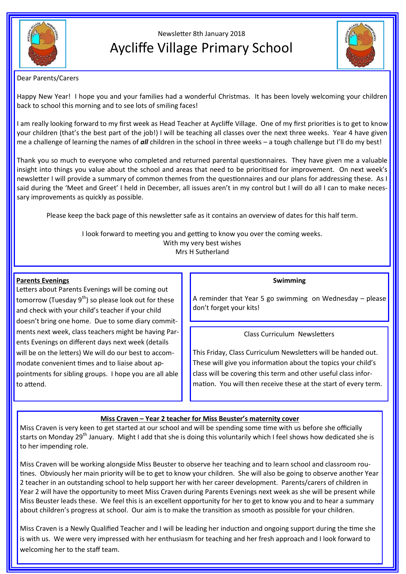

# Newsletter 8th January 2018 Aycliffe Village Primary School



Dear Parents/Carers

Happy New Year! I hope you and your families had a wonderful Christmas. It has been lovely welcoming your children back to school this morning and to see lots of smiling faces!

I am really looking forward to my first week as Head Teacher at Aycliffe Village. One of my first priorities is to get to know your children (that's the best part of the job!) I will be teaching all classes over the next three weeks. Year 4 have given me a challenge of learning the names of *all* children in the school in three weeks – a tough challenge but I'll do my best!

Thank you so much to everyone who completed and returned parental questionnaires. They have given me a valuable insight into things you value about the school and areas that need to be prioritised for improvement. On next week's newsletter I will provide a summary of common themes from the questionnaires and our plans for addressing these. As I said during the 'Meet and Greet' I held in December, all issues aren't in my control but I will do all I can to make necessary improvements as quickly as possible.

Please keep the back page of this newsletter safe as it contains an overview of dates for this half term.

I look forward to meeting you and getting to know you over the coming weeks. With my very best wishes Mrs H Sutherland

### **Parents Evenings**

Letters about Parents Evenings will be coming out tomorrow (Tuesday  $9^{th}$ ) so please look out for these and check with your child's teacher if your child doesn't bring one home. Due to some diary commitments next week, class teachers might be having Parents Evenings on different days next week (details will be on the letters) We will do our best to accommodate convenient times and to liaise about appointments for sibling groups. I hope you are all able to attend.

#### **Swimming**

A reminder that Year 5 go swimming on Wednesday – please don't forget your kits!

### Class Curriculum Newsletters

This Friday, Class Curriculum Newsletters will be handed out. These will give you information about the topics your child's class will be covering this term and other useful class information. You will then receive these at the start of every term.

### **Miss Craven – Year 2 teacher for Miss Beuster's maternity cover**

Miss Craven is very keen to get started at our school and will be spending some time with us before she officially starts on Monday 29<sup>th</sup> January. Might I add that she is doing this voluntarily which I feel shows how dedicated she is to her impending role.

Miss Craven will be working alongside Miss Beuster to observe her teaching and to learn school and classroom routines. Obviously her main priority will be to get to know your children. She will also be going to observe another Year 2 teacher in an outstanding school to help support her with her career development. Parents/carers of children in Year 2 will have the opportunity to meet Miss Craven during Parents Evenings next week as she will be present while Miss Beuster leads these. We feel this is an excellent opportunity for her to get to know you and to hear a summary about children's progress at school. Our aim is to make the transition as smooth as possible for your children.

Miss Craven is a Newly Qualified Teacher and I will be leading her induction and ongoing support during the time she is with us. We were very impressed with her enthusiasm for teaching and her fresh approach and I look forward to welcoming her to the staff team.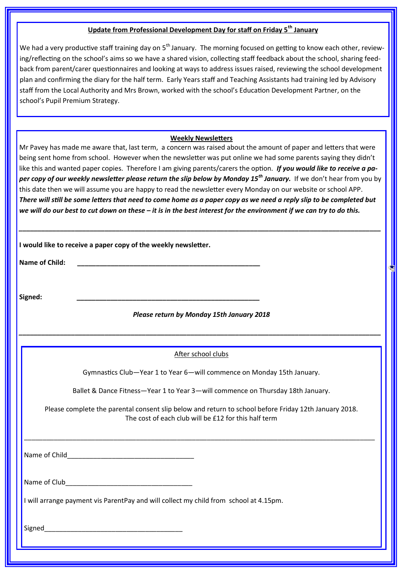# **Update from Professional Development Day for staff on Friday 5th January**

We had a very productive staff training day on  $5<sup>th</sup>$  January. The morning focused on getting to know each other, reviewing/reflecting on the school's aims so we have a shared vision, collecting staff feedback about the school, sharing feedback from parent/carer questionnaires and looking at ways to address issues raised, reviewing the school development plan and confirming the diary for the half term. Early Years staff and Teaching Assistants had training led by Advisory staff from the Local Authority and Mrs Brown, worked with the school's Education Development Partner, on the school's Pupil Premium Strategy.

#### **Weekly Newsletters**

Mr Pavey has made me aware that, last term, a concern was raised about the amount of paper and letters that were being sent home from school. However when the newsletter was put online we had some parents saying they didn't like this and wanted paper copies. Therefore I am giving parents/carers the option. *If you would like to receive a paper copy of our weekly newsletter please return the slip below by Monday 15th January.* If we don't hear from you by this date then we will assume you are happy to read the newsletter every Monday on our website or school APP. *There will still be some letters that need to come home as a paper copy as we need a reply slip to be completed but we will do our best to cut down on these – it is in the best interest for the environment if we can try to do this.*

| <b>Name of Child:</b>                     | I would like to receive a paper copy of the weekly newsletter.<br><u> 1989 - Johann John Stoff, amerikansk politiker (</u>                                    |  |  |
|-------------------------------------------|---------------------------------------------------------------------------------------------------------------------------------------------------------------|--|--|
| Signed:                                   |                                                                                                                                                               |  |  |
| Please return by Monday 15th January 2018 |                                                                                                                                                               |  |  |
|                                           | After school clubs                                                                                                                                            |  |  |
|                                           | Gymnastics Club-Year 1 to Year 6-will commence on Monday 15th January.                                                                                        |  |  |
|                                           | Ballet & Dance Fitness-Year 1 to Year 3-will commence on Thursday 18th January.                                                                               |  |  |
|                                           | Please complete the parental consent slip below and return to school before Friday 12th January 2018.<br>The cost of each club will be £12 for this half term |  |  |
|                                           |                                                                                                                                                               |  |  |
|                                           |                                                                                                                                                               |  |  |
|                                           | I will arrange payment vis ParentPay and will collect my child from school at 4.15pm.                                                                         |  |  |

Signed